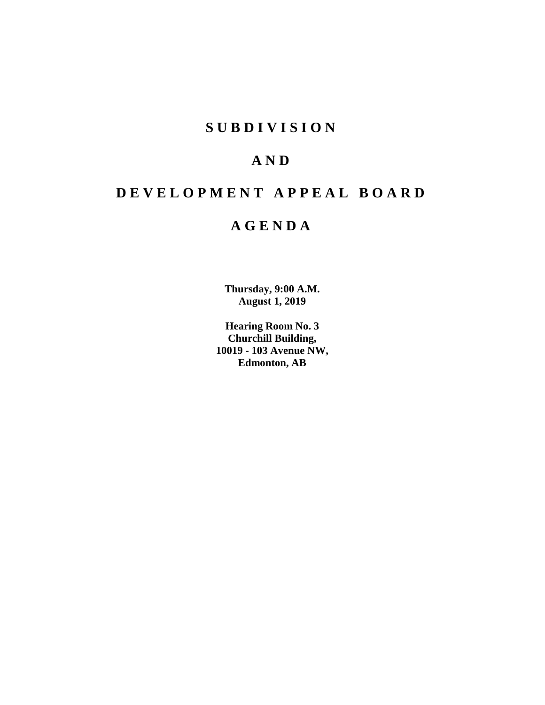# **S U B D I V I S I O N**

# **A N D**

# **D E V E L O P M E N T A P P E A L B O A R D**

# **A G E N D A**

**Thursday, 9:00 A.M. August 1, 2019**

**Hearing Room No. 3 Churchill Building, 10019 - 103 Avenue NW, Edmonton, AB**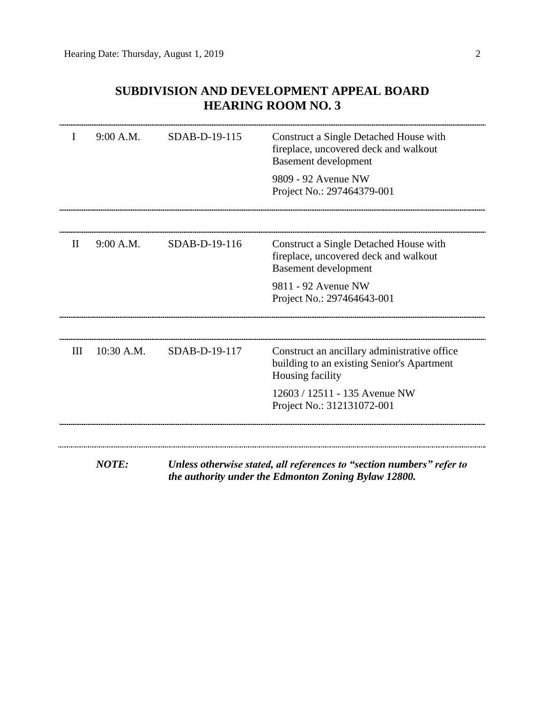# **SUBDIVISION AND DEVELOPMENT APPEAL BOARD HEARING ROOM NO. 3**

| T            | 9:00 A.M.    | SDAB-D-19-115 | Construct a Single Detached House with<br>fireplace, uncovered deck and walkout<br><b>Basement</b> development |
|--------------|--------------|---------------|----------------------------------------------------------------------------------------------------------------|
|              |              |               | 9809 - 92 Avenue NW<br>Project No.: 297464379-001                                                              |
|              |              |               |                                                                                                                |
| $\mathbf{I}$ | 9:00 A.M.    | SDAB-D-19-116 | Construct a Single Detached House with<br>fireplace, uncovered deck and walkout<br><b>Basement development</b> |
|              |              |               | 9811 - 92 Avenue NW<br>Project No.: 297464643-001                                                              |
| Ш            | 10:30 A.M.   | SDAB-D-19-117 | Construct an ancillary administrative office<br>building to an existing Senior's Apartment<br>Housing facility |
|              |              |               | 12603 / 12511 - 135 Avenue NW<br>Project No.: 312131072-001                                                    |
|              |              |               |                                                                                                                |
|              | <b>NOTE:</b> |               | Unless otherwise stated, all references to "section numbers" refer to                                          |

*the authority under the Edmonton Zoning Bylaw 12800.*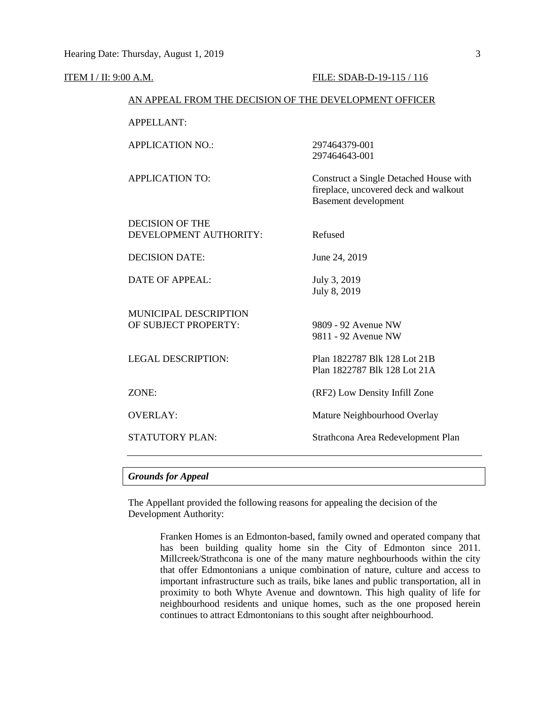#### ITEM I / II: 9:00 A.M. FILE: SDAB-D-19-115 / 116

#### AN APPEAL FROM THE DECISION OF THE DEVELOPMENT OFFICER

| <b>APPELLANT:</b>                                    |                                                                                                                |
|------------------------------------------------------|----------------------------------------------------------------------------------------------------------------|
| <b>APPLICATION NO.:</b>                              | 297464379-001<br>297464643-001                                                                                 |
| <b>APPLICATION TO:</b>                               | Construct a Single Detached House with<br>fireplace, uncovered deck and walkout<br><b>Basement development</b> |
| <b>DECISION OF THE</b>                               |                                                                                                                |
| DEVELOPMENT AUTHORITY:                               | Refused                                                                                                        |
| <b>DECISION DATE:</b>                                | June 24, 2019                                                                                                  |
| <b>DATE OF APPEAL:</b>                               | July 3, 2019<br>July 8, 2019                                                                                   |
| <b>MUNICIPAL DESCRIPTION</b><br>OF SUBJECT PROPERTY: | 9809 - 92 Avenue NW<br>9811 - 92 Avenue NW                                                                     |
| <b>LEGAL DESCRIPTION:</b>                            | Plan 1822787 Blk 128 Lot 21B<br>Plan 1822787 Blk 128 Lot 21A                                                   |
| ZONE:                                                | (RF2) Low Density Infill Zone                                                                                  |
| <b>OVERLAY:</b>                                      | Mature Neighbourhood Overlay                                                                                   |
| STATUTORY PLAN:                                      | Strathcona Area Redevelopment Plan                                                                             |
|                                                      |                                                                                                                |

# *Grounds for Appeal*

The Appellant provided the following reasons for appealing the decision of the Development Authority:

> Franken Homes is an Edmonton-based, family owned and operated company that has been building quality home sin the City of Edmonton since 2011. Millcreek/Strathcona is one of the many mature neghbourhoods within the city that offer Edmontonians a unique combination of nature, culture and access to important infrastructure such as trails, bike lanes and public transportation, all in proximity to both Whyte Avenue and downtown. This high quality of life for neighbourhood residents and unique homes, such as the one proposed herein continues to attract Edmontonians to this sought after neighbourhood.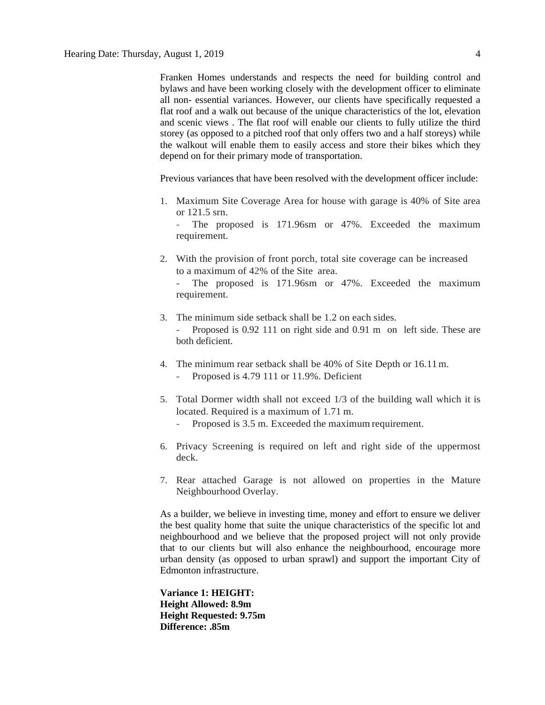Franken Homes understands and respects the need for building control and bylaws and have been working closely with the development officer to eliminate all non- essential variances. However, our clients have specifically requested a flat roof and a walk out because of the unique characteristics of the lot, elevation and scenic views . The flat roof will enable our clients to fully utilize the third storey (as opposed to a pitched roof that only offers two and a half storeys) while the walkout will enable them to easily access and store their bikes which they depend on for their primary mode of transportation.

Previous variances that have been resolved with the development officer include:

1. Maximum Site Coverage Area for house with garage is 40% of Site area or 121.5 srn.

The proposed is 171.96sm or 47%. Exceeded the maximum requirement.

2. With the provision of front porch, total site coverage can be increased to a maximum of 42% of the Site area.

The proposed is 171.96sm or 47%. Exceeded the maximum requirement.

- 3. The minimum side setback shall be 1.2 on each sides. Proposed is 0.92 111 on right side and 0.91 m on left side. These are both deficient.
- 4. The minimum rear setback shall be 40% of Site Depth or 16.11m.
	- Proposed is 4.79 111 or 11.9%. Deficient
- 5. Total Dormer width shall not exceed 1/3 of the building wall which it is located. Required is a maximum of 1.71 m.
	- Proposed is 3.5 m. Exceeded the maximum requirement.
- 6. Privacy Screening is required on left and right side of the uppermost deck.
- 7. Rear attached Garage is not allowed on properties in the Mature Neighbourhood Overlay.

As a builder, we believe in investing time, money and effort to ensure we deliver the best quality home that suite the unique characteristics of the specific lot and neighbourhood and we believe that the proposed project will not only provide that to our clients but will also enhance the neighbourhood, encourage more urban density (as opposed to urban sprawl) and support the important City of Edmonton infrastructure.

**Variance 1: HEIGHT: Height Allowed: 8.9m Height Requested: 9.75m Difference: .85m**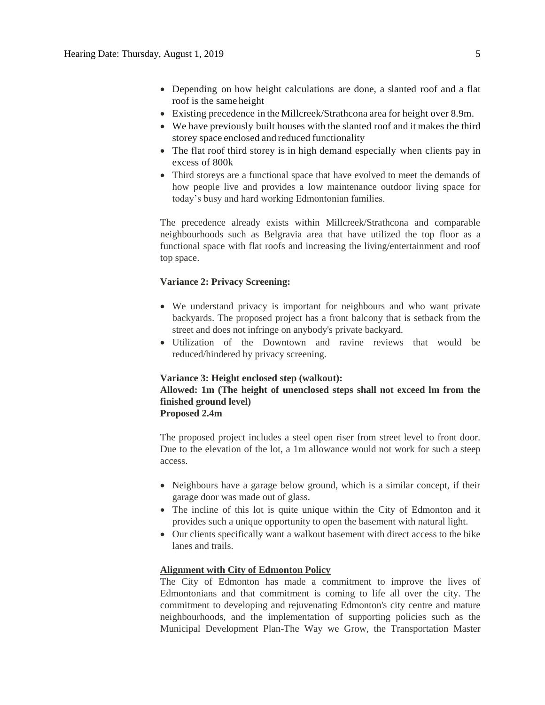- Depending on how height calculations are done, a slanted roof and a flat roof is the same height
- Existing precedence in the Millcreek/Strathcona area for height over 8.9m.
- We have previously built houses with the slanted roof and it makes the third storey space enclosed and reduced functionality
- The flat roof third storey is in high demand especially when clients pay in excess of 800k
- Third storeys are a functional space that have evolved to meet the demands of how people live and provides a low maintenance outdoor living space for today's busy and hard working Edmontonian families.

The precedence already exists within Millcreek/Strathcona and comparable neighbourhoods such as Belgravia area that have utilized the top floor as a functional space with flat roofs and increasing the living/entertainment and roof top space.

### **Variance 2: Privacy Screening:**

- We understand privacy is important for neighbours and who want private backyards. The proposed project has a front balcony that is setback from the street and does not infringe on anybody's private backyard.
- Utilization of the Downtown and ravine reviews that would be reduced/hindered by privacy screening.

### **Variance 3: Height enclosed step (walkout):**

# **Allowed: 1m (The height of unenclosed steps shall not exceed lm from the finished ground level)**

# **Proposed 2.4m**

The proposed project includes a steel open riser from street level to front door. Due to the elevation of the lot, a 1m allowance would not work for such a steep access.

- Neighbours have a garage below ground, which is a similar concept, if their garage door was made out of glass.
- The incline of this lot is quite unique within the City of Edmonton and it provides such a unique opportunity to open the basement with natural light.
- Our clients specifically want a walkout basement with direct access to the bike lanes and trails.

# **Alignment with City of Edmonton Policy**

The City of Edmonton has made a commitment to improve the lives of Edmontonians and that commitment is coming to life all over the city. The commitment to developing and rejuvenating Edmonton's city centre and mature neighbourhoods, and the implementation of supporting policies such as the Municipal Development Plan-The Way we Grow, the Transportation Master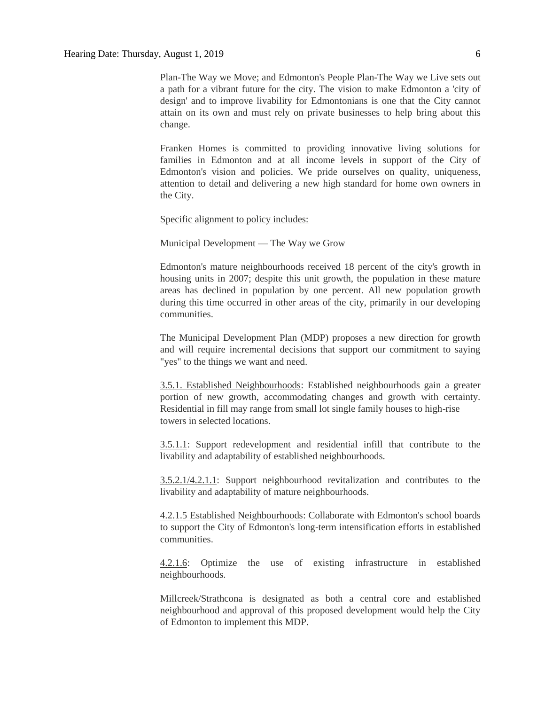Plan-The Way we Move; and Edmonton's People Plan-The Way we Live sets out a path for a vibrant future for the city. The vision to make Edmonton a 'city of design' and to improve livability for Edmontonians is one that the City cannot attain on its own and must rely on private businesses to help bring about this change.

Franken Homes is committed to providing innovative living solutions for families in Edmonton and at all income levels in support of the City of Edmonton's vision and policies. We pride ourselves on quality, uniqueness, attention to detail and delivering a new high standard for home own owners in the City.

Specific alignment to policy includes:

Municipal Development — The Way we Grow

Edmonton's mature neighbourhoods received 18 percent of the city's growth in housing units in 2007; despite this unit growth, the population in these mature areas has declined in population by one percent. All new population growth during this time occurred in other areas of the city, primarily in our developing communities.

The Municipal Development Plan (MDP) proposes a new direction for growth and will require incremental decisions that support our commitment to saying "yes" to the things we want and need.

3.5.1. Established Neighbourhoods: Established neighbourhoods gain a greater portion of new growth, accommodating changes and growth with certainty. Residential in fill may range from small lot single family houses to high-rise towers in selected locations.

3.5.1.1: Support redevelopment and residential infill that contribute to the livability and adaptability of established neighbourhoods.

3.5.2.1/4.2.1.1: Support neighbourhood revitalization and contributes to the livability and adaptability of mature neighbourhoods.

4.2.1.5 Established Neighbourhoods: Collaborate with Edmonton's school boards to support the City of Edmonton's long-term intensification efforts in established communities.

4.2.1.6: Optimize the use of existing infrastructure in established neighbourhoods.

Millcreek/Strathcona is designated as both a central core and established neighbourhood and approval of this proposed development would help the City of Edmonton to implement this MDP.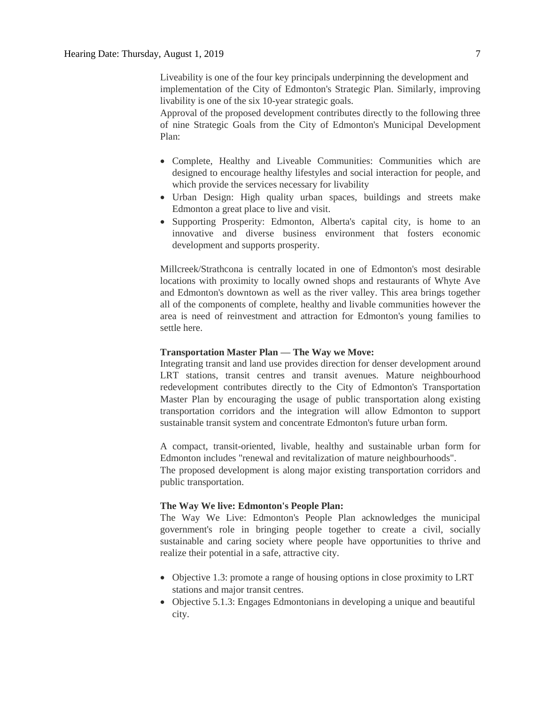Liveability is one of the four key principals underpinning the development and implementation of the City of Edmonton's Strategic Plan. Similarly, improving livability is one of the six 10-year strategic goals.

Approval of the proposed development contributes directly to the following three of nine Strategic Goals from the City of Edmonton's Municipal Development Plan:

- Complete, Healthy and Liveable Communities: Communities which are designed to encourage healthy lifestyles and social interaction for people, and which provide the services necessary for livability
- Urban Design: High quality urban spaces, buildings and streets make Edmonton a great place to live and visit.
- Supporting Prosperity: Edmonton, Alberta's capital city, is home to an innovative and diverse business environment that fosters economic development and supports prosperity.

Millcreek/Strathcona is centrally located in one of Edmonton's most desirable locations with proximity to locally owned shops and restaurants of Whyte Ave and Edmonton's downtown as well as the river valley. This area brings together all of the components of complete, healthy and livable communities however the area is need of reinvestment and attraction for Edmonton's young families to settle here.

## **Transportation Master Plan — The Way we Move:**

Integrating transit and land use provides direction for denser development around LRT stations, transit centres and transit avenues. Mature neighbourhood redevelopment contributes directly to the City of Edmonton's Transportation Master Plan by encouraging the usage of public transportation along existing transportation corridors and the integration will allow Edmonton to support sustainable transit system and concentrate Edmonton's future urban form.

A compact, transit-oriented, livable, healthy and sustainable urban form for Edmonton includes "renewal and revitalization of mature neighbourhoods".

The proposed development is along major existing transportation corridors and public transportation.

# **The Way We live: Edmonton's People Plan:**

The Way We Live: Edmonton's People Plan acknowledges the municipal government's role in bringing people together to create a civil, socially sustainable and caring society where people have opportunities to thrive and realize their potential in a safe, attractive city.

- Objective 1.3: promote a range of housing options in close proximity to LRT stations and major transit centres.
- Objective 5.1.3: Engages Edmontonians in developing a unique and beautiful city.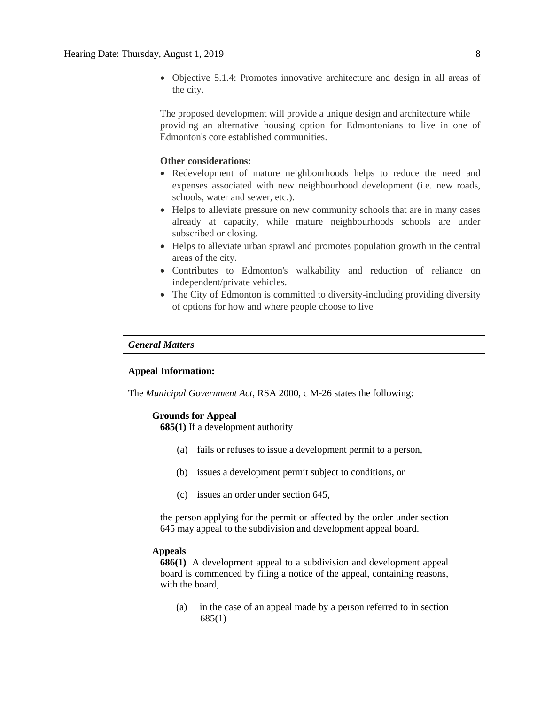Objective 5.1.4: Promotes innovative architecture and design in all areas of the city.

The proposed development will provide a unique design and architecture while providing an alternative housing option for Edmontonians to live in one of Edmonton's core established communities.

# **Other considerations:**

- Redevelopment of mature neighbourhoods helps to reduce the need and expenses associated with new neighbourhood development (i.e. new roads, schools, water and sewer, etc.).
- Helps to alleviate pressure on new community schools that are in many cases already at capacity, while mature neighbourhoods schools are under subscribed or closing.
- Helps to alleviate urban sprawl and promotes population growth in the central areas of the city.
- Contributes to Edmonton's walkability and reduction of reliance on independent/private vehicles.
- The City of Edmonton is committed to diversity-including providing diversity of options for how and where people choose to live

#### *General Matters*

## **Appeal Information:**

The *Municipal Government Act*, RSA 2000, c M-26 states the following:

## **Grounds for Appeal**

**685(1)** If a development authority

- (a) fails or refuses to issue a development permit to a person,
- (b) issues a development permit subject to conditions, or
- (c) issues an order under section 645,

the person applying for the permit or affected by the order under section 645 may appeal to the subdivision and development appeal board.

#### **Appeals**

**686(1)** A development appeal to a subdivision and development appeal board is commenced by filing a notice of the appeal, containing reasons, with the board,

(a) in the case of an appeal made by a person referred to in section 685(1)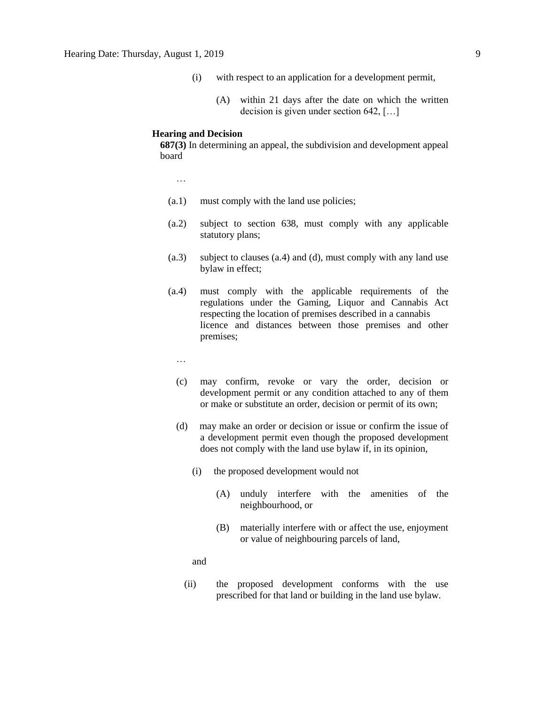- (i) with respect to an application for a development permit,
	- (A) within 21 days after the date on which the written decision is given under section 642, […]

#### **Hearing and Decision**

**687(3)** In determining an appeal, the subdivision and development appeal board

…

- (a.1) must comply with the land use policies;
- (a.2) subject to section 638, must comply with any applicable statutory plans;
- (a.3) subject to clauses (a.4) and (d), must comply with any land use bylaw in effect;
- (a.4) must comply with the applicable requirements of the regulations under the Gaming, Liquor and Cannabis Act respecting the location of premises described in a cannabis licence and distances between those premises and other premises;
	- …
	- (c) may confirm, revoke or vary the order, decision or development permit or any condition attached to any of them or make or substitute an order, decision or permit of its own;
	- (d) may make an order or decision or issue or confirm the issue of a development permit even though the proposed development does not comply with the land use bylaw if, in its opinion,
		- (i) the proposed development would not
			- (A) unduly interfere with the amenities of the neighbourhood, or
			- (B) materially interfere with or affect the use, enjoyment or value of neighbouring parcels of land,

and

(ii) the proposed development conforms with the use prescribed for that land or building in the land use bylaw.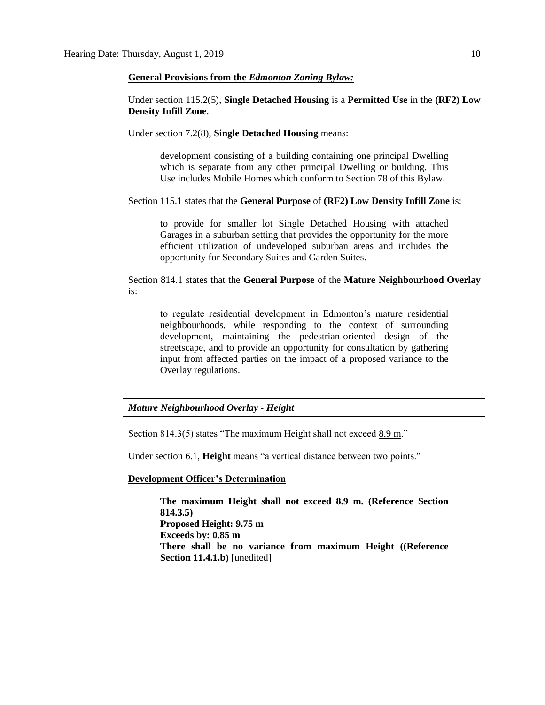#### **General Provisions from the** *Edmonton Zoning Bylaw:*

Under section 115.2(5), **Single Detached Housing** is a **Permitted Use** in the **(RF2) Low Density Infill Zone**.

Under section 7.2(8), **Single Detached Housing** means:

development consisting of a building containing one principal Dwelling which is separate from any other principal Dwelling or building. This Use includes Mobile Homes which conform to Section 78 of this Bylaw.

Section 115.1 states that the **General Purpose** of **(RF2) Low Density Infill Zone** is:

to provide for smaller lot Single Detached Housing with attached Garages in a suburban setting that provides the opportunity for the more efficient utilization of undeveloped suburban areas and includes the opportunity for Secondary Suites and Garden Suites.

Section 814.1 states that the **General Purpose** of the **Mature Neighbourhood Overlay** is:

to regulate residential development in Edmonton's mature residential neighbourhoods, while responding to the context of surrounding development, maintaining the pedestrian-oriented design of the streetscape, and to provide an opportunity for consultation by gathering input from affected parties on the impact of a proposed variance to the Overlay regulations.

## *Mature Neighbourhood Overlay - Height*

Section 814.3(5) states "The maximum Height shall not exceed 8.9 m."

Under section 6.1, **Height** means "a vertical distance between two points."

#### **Development Officer's Determination**

**The maximum Height shall not exceed 8.9 m. (Reference Section 814.3.5) Proposed Height: 9.75 m Exceeds by: 0.85 m There shall be no variance from maximum Height ((Reference Section 11.4.1.b)** [unedited]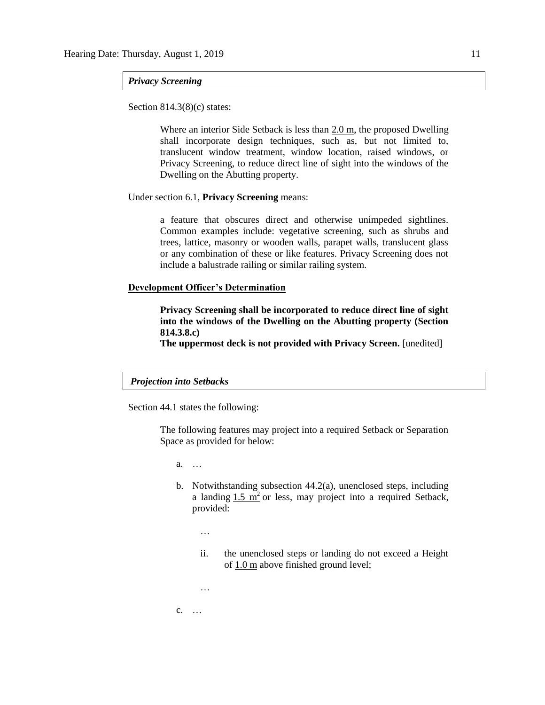#### *Privacy Screening*

Section 814.3(8)(c) states:

Where an interior Side Setback is less than 2.0 m, the proposed Dwelling shall incorporate design techniques, such as, but not limited to, translucent window treatment, window location, raised windows, or Privacy Screening, to reduce direct line of sight into the windows of the Dwelling on the Abutting property.

#### Under section 6.1, **Privacy Screening** means:

a feature that obscures direct and otherwise unimpeded sightlines. Common examples include: vegetative screening, such as shrubs and trees, lattice, masonry or wooden walls, parapet walls, translucent glass or any combination of these or like features. Privacy Screening does not include a balustrade railing or similar railing system.

#### **Development Officer's Determination**

**Privacy Screening shall be incorporated to reduce direct line of sight into the windows of the Dwelling on the Abutting property (Section 814.3.8.c)**

**The uppermost deck is not provided with Privacy Screen.** [unedited]

# *Projection into Setbacks*

Section 44.1 states the following:

The following features may project into a required Setback or Separation Space as provided for below:

a. …

- b. Notwithstanding subsection 44.2(a), unenclosed steps, including a landing  $1.5 \text{ m}^2$  or less, may project into a required Setback, provided:
	- …
	- ii. the unenclosed steps or landing do not exceed a Height of [1.0 m](javascript:void(0);) above finished ground level;

…

c. …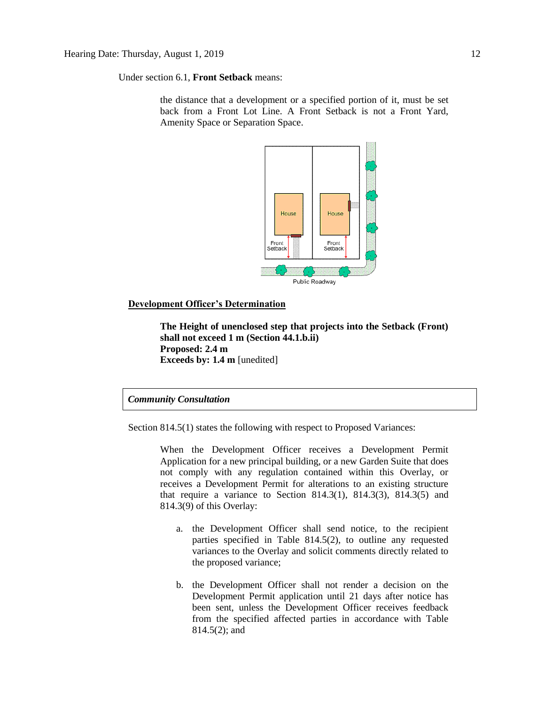Under section 6.1, **Front Setback** means:

the distance that a development or a specified portion of it, must be set back from a Front Lot Line. A Front Setback is not a Front Yard, Amenity Space or Separation Space.



# **Development Officer's Determination**

**The Height of unenclosed step that projects into the Setback (Front) shall not exceed 1 m (Section 44.1.b.ii) Proposed: 2.4 m Exceeds by: 1.4 m** [unedited]

# *Community Consultation*

Section 814.5(1) states the following with respect to Proposed Variances:

When the Development Officer receives a Development Permit Application for a new principal building, or a new Garden Suite that does not comply with any regulation contained within this Overlay, or receives a Development Permit for alterations to an existing structure that require a variance to Section 814.3(1), 814.3(3), 814.3(5) and 814.3(9) of this Overlay:

- a. the Development Officer shall send notice, to the recipient parties specified in Table 814.5(2), to outline any requested variances to the Overlay and solicit comments directly related to the proposed variance;
- b. the Development Officer shall not render a decision on the Development Permit application until 21 days after notice has been sent, unless the Development Officer receives feedback from the specified affected parties in accordance with Table 814.5(2); and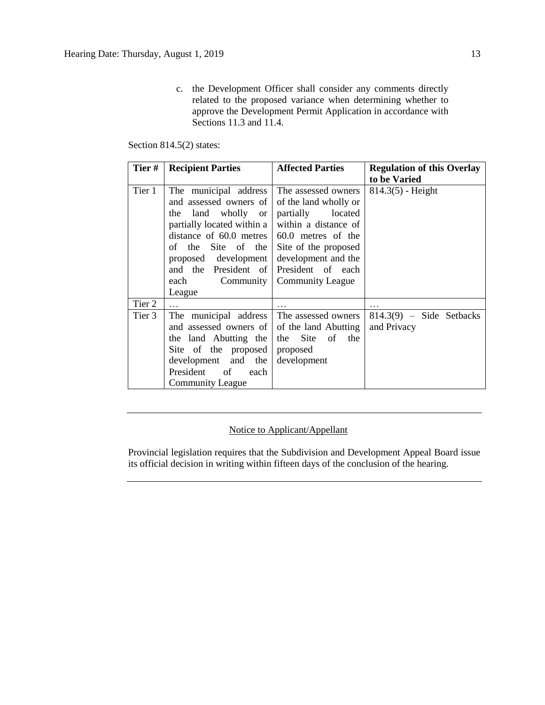c. the Development Officer shall consider any comments directly related to the proposed variance when determining whether to approve the Development Permit Application in accordance with Sections 11.3 and 11.4.

# Section 814.5(2) states:

| Tier#  | <b>Recipient Parties</b>                                                                                                                                                                                                                                               | <b>Affected Parties</b>                                                                                                                                                                     | <b>Regulation of this Overlay</b><br>to be Varied |
|--------|------------------------------------------------------------------------------------------------------------------------------------------------------------------------------------------------------------------------------------------------------------------------|---------------------------------------------------------------------------------------------------------------------------------------------------------------------------------------------|---------------------------------------------------|
| Tier 1 | The municipal address<br>and assessed owners of<br>land wholly or<br>the<br>partially located within a<br>distance of $60.0$ metres $\vert 60.0$ metres of the<br>Site of the<br>of the<br>proposed development<br>and the President of<br>Community<br>each<br>League | The assessed owners<br>of the land wholly or<br>partially<br>located<br>within a distance of<br>Site of the proposed<br>development and the<br>President of each<br><b>Community League</b> | $814.3(5)$ - Height                               |
| Tier 2 |                                                                                                                                                                                                                                                                        |                                                                                                                                                                                             | .                                                 |
| Tier 3 | The municipal address<br>and assessed owners of of the land Abutting<br>the land Abutting the<br>Site of the proposed<br>development and the<br>President<br>of<br>each<br><b>Community League</b>                                                                     | The assessed owners<br>Site of<br>the<br>the<br>proposed<br>development                                                                                                                     | $814.3(9)$ - Side Setbacks<br>and Privacy         |

# Notice to Applicant/Appellant

Provincial legislation requires that the Subdivision and Development Appeal Board issue its official decision in writing within fifteen days of the conclusion of the hearing.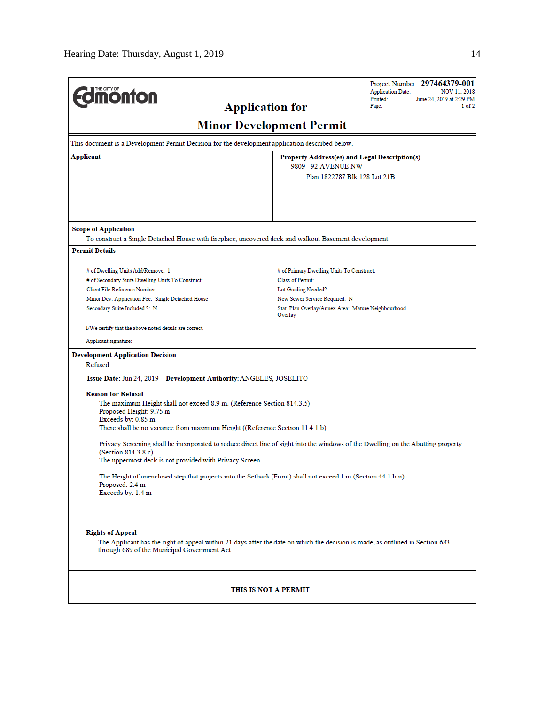| <b>Following</b>                                                                                                                                                                                         | Printed:<br><b>Application for</b><br>Page:                    | Project Number: 297464379-001<br><b>Application Date:</b><br>NOV 11, 2018<br>June 24, 2019 at 2:29 PM<br>1 of 2 |
|----------------------------------------------------------------------------------------------------------------------------------------------------------------------------------------------------------|----------------------------------------------------------------|-----------------------------------------------------------------------------------------------------------------|
|                                                                                                                                                                                                          | <b>Minor Development Permit</b>                                |                                                                                                                 |
| This document is a Development Permit Decision for the development application described below.                                                                                                          |                                                                |                                                                                                                 |
| Applicant                                                                                                                                                                                                | Property Address(es) and Legal Description(s)                  |                                                                                                                 |
|                                                                                                                                                                                                          | 9809 - 92 AVENUE NW<br>Plan 1822787 Blk 128 Lot 21B            |                                                                                                                 |
|                                                                                                                                                                                                          |                                                                |                                                                                                                 |
| <b>Scope of Application</b>                                                                                                                                                                              |                                                                |                                                                                                                 |
| To construct a Single Detached House with fireplace, uncovered deck and walkout Basement development.                                                                                                    |                                                                |                                                                                                                 |
| <b>Permit Details</b>                                                                                                                                                                                    |                                                                |                                                                                                                 |
| # of Dwelling Units Add/Remove: 1                                                                                                                                                                        | # of Primary Dwelling Units To Construct:                      |                                                                                                                 |
| # of Secondary Suite Dwelling Units To Construct:                                                                                                                                                        | <b>Class of Permit:</b>                                        |                                                                                                                 |
| Client File Reference Number:                                                                                                                                                                            | Lot Grading Needed?:                                           |                                                                                                                 |
| Minor Dev. Application Fee: Single Detached House                                                                                                                                                        | New Sewer Service Required: N                                  |                                                                                                                 |
| Secondary Suite Included ?: N                                                                                                                                                                            | Stat. Plan Overlay/Annex Area: Mature Neighbourhood<br>Overlay |                                                                                                                 |
| I/We certify that the above noted details are correct.                                                                                                                                                   |                                                                |                                                                                                                 |
| Applicant signature:                                                                                                                                                                                     |                                                                |                                                                                                                 |
| <b>Development Application Decision</b>                                                                                                                                                                  |                                                                |                                                                                                                 |
| Refused                                                                                                                                                                                                  |                                                                |                                                                                                                 |
| Issue Date: Jun 24, 2019 Development Authority: ANGELES, JOSELITO                                                                                                                                        |                                                                |                                                                                                                 |
| <b>Reason for Refusal</b>                                                                                                                                                                                |                                                                |                                                                                                                 |
| The maximum Height shall not exceed 8.9 m. (Reference Section 814.3.5)<br>Proposed Height: 9.75 m<br>Exceeds by: 0.85 m                                                                                  |                                                                |                                                                                                                 |
| There shall be no variance from maximum Height ((Reference Section 11.4.1.b)                                                                                                                             |                                                                |                                                                                                                 |
| Privacy Screening shall be incorporated to reduce direct line of sight into the windows of the Dwelling on the Abutting property<br>(Section 814.3.8.c)                                                  |                                                                |                                                                                                                 |
| The uppermost deck is not provided with Privacy Screen.                                                                                                                                                  |                                                                |                                                                                                                 |
| The Height of unenclosed step that projects into the Setback (Front) shall not exceed 1 m (Section 44.1.b.ii)<br>Proposed: 2.4 m<br>Exceeds by: 1.4 m                                                    |                                                                |                                                                                                                 |
| <b>Rights of Appeal</b><br>The Applicant has the right of appeal within 21 days after the date on which the decision is made, as outlined in Section 683<br>through 689 of the Municipal Government Act. |                                                                |                                                                                                                 |
|                                                                                                                                                                                                          |                                                                |                                                                                                                 |
|                                                                                                                                                                                                          | THIS IS NOT A PERMIT                                           |                                                                                                                 |

 $\overline{a}$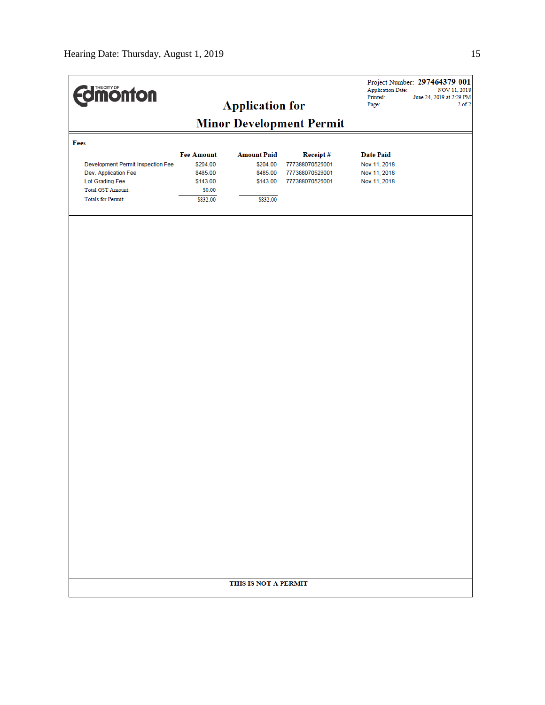| <b>Edinonton</b>                  |                                 |                        |                 | <b>Application Date:</b><br>Printed: | Project Number: 297464379-001<br>NOV 11, 2018<br>June 24, 2019 at 2:29 PM |  |  |  |
|-----------------------------------|---------------------------------|------------------------|-----------------|--------------------------------------|---------------------------------------------------------------------------|--|--|--|
|                                   |                                 | <b>Application for</b> |                 | Page:                                | $2$ of $2$                                                                |  |  |  |
|                                   | <b>Minor Development Permit</b> |                        |                 |                                      |                                                                           |  |  |  |
| Fees                              |                                 |                        |                 |                                      |                                                                           |  |  |  |
|                                   | <b>Fee Amount</b>               | <b>Amount Paid</b>     | Receipt#        | <b>Date Paid</b>                     |                                                                           |  |  |  |
| Development Permit Inspection Fee | \$204.00                        | \$204.00               | 777388070526001 | Nov 11, 2018                         |                                                                           |  |  |  |
| Dev. Application Fee              | \$485.00                        | \$485.00               | 777388070526001 | Nov 11, 2018                         |                                                                           |  |  |  |
| Lot Grading Fee                   | \$143.00                        | \$143.00               | 777388070526001 | Nov 11, 2018                         |                                                                           |  |  |  |
| <b>Total GST Amount:</b>          | \$0.00                          |                        |                 |                                      |                                                                           |  |  |  |
| <b>Totals for Permit:</b>         | \$832.00                        | \$832.00               |                 |                                      |                                                                           |  |  |  |
|                                   |                                 |                        |                 |                                      |                                                                           |  |  |  |
|                                   |                                 |                        |                 |                                      |                                                                           |  |  |  |
|                                   |                                 |                        |                 |                                      |                                                                           |  |  |  |
|                                   |                                 | THIS IS NOT A PERMIT   |                 |                                      |                                                                           |  |  |  |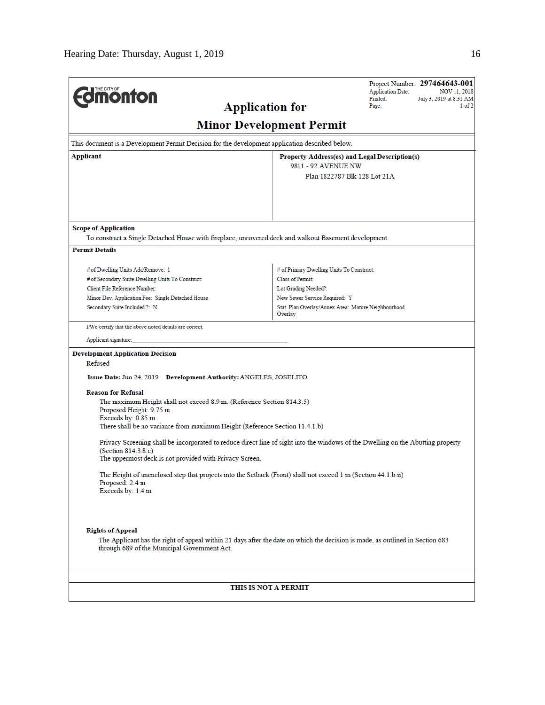| This document is a Development Permit Decision for the development application described below.                                                                                                                    | <b>Application for</b><br><b>Minor Development Permit</b>                            |  |
|--------------------------------------------------------------------------------------------------------------------------------------------------------------------------------------------------------------------|--------------------------------------------------------------------------------------|--|
|                                                                                                                                                                                                                    |                                                                                      |  |
|                                                                                                                                                                                                                    |                                                                                      |  |
| Applicant                                                                                                                                                                                                          | Property Address(es) and Legal Description(s)                                        |  |
|                                                                                                                                                                                                                    | 9811 - 92 AVENUE NW<br>Plan 1822787 Blk 128 Lot 21A                                  |  |
| <b>Scope of Application</b>                                                                                                                                                                                        |                                                                                      |  |
| To construct a Single Detached House with fireplace, uncovered deck and walkout Basement development.                                                                                                              |                                                                                      |  |
| <b>Permit Details</b>                                                                                                                                                                                              |                                                                                      |  |
|                                                                                                                                                                                                                    |                                                                                      |  |
| # of Dwelling Units Add/Remove: 1                                                                                                                                                                                  | # of Primary Dwelling Units To Construct:                                            |  |
| # of Secondary Suite Dwelling Units To Construct:                                                                                                                                                                  | Class of Permit:                                                                     |  |
| Client File Reference Number:                                                                                                                                                                                      | Lot Grading Needed?:                                                                 |  |
| Minor Dev. Application Fee: Single Detached House<br>Secondary Suite Included ?: N                                                                                                                                 | New Sewer Service Required: Y<br>Stat. Plan Overlay/Annex Area: Mature Neighbourhood |  |
|                                                                                                                                                                                                                    | Overlay                                                                              |  |
| I/We certify that the above noted details are correct.                                                                                                                                                             |                                                                                      |  |
| Applicant signature:                                                                                                                                                                                               |                                                                                      |  |
| <b>Development Application Decision</b>                                                                                                                                                                            |                                                                                      |  |
| Refused                                                                                                                                                                                                            |                                                                                      |  |
| Issue Date: Jun 24, 2019 Development Authority: ANGELES, JOSELITO                                                                                                                                                  |                                                                                      |  |
| <b>Reason for Refusal</b>                                                                                                                                                                                          |                                                                                      |  |
| The maximum Height shall not exceed 8.9 m. (Reference Section 814.3.5)<br>Proposed Height: 9.75 m                                                                                                                  |                                                                                      |  |
| Exceeds by: 0.85 m<br>There shall be no variance from maximum Height (Reference Section 11.4.1.b)                                                                                                                  |                                                                                      |  |
|                                                                                                                                                                                                                    |                                                                                      |  |
| Privacy Screening shall be incorporated to reduce direct line of sight into the windows of the Dwelling on the Abutting property<br>(Section 814.3.8.c)<br>The uppermost deck is not provided with Privacy Screen. |                                                                                      |  |
| The Height of unenclosed step that projects into the Setback (Front) shall not exceed 1 m (Section 44.1.b.ii)<br>Proposed: 2.4 m<br>Exceeds by: 1.4 m                                                              |                                                                                      |  |
| <b>Rights of Appeal</b><br>The Applicant has the right of appeal within 21 days after the date on which the decision is made, as outlined in Section 683<br>through 689 of the Municipal Government Act.           |                                                                                      |  |
|                                                                                                                                                                                                                    | THIS IS NOT A PERMIT                                                                 |  |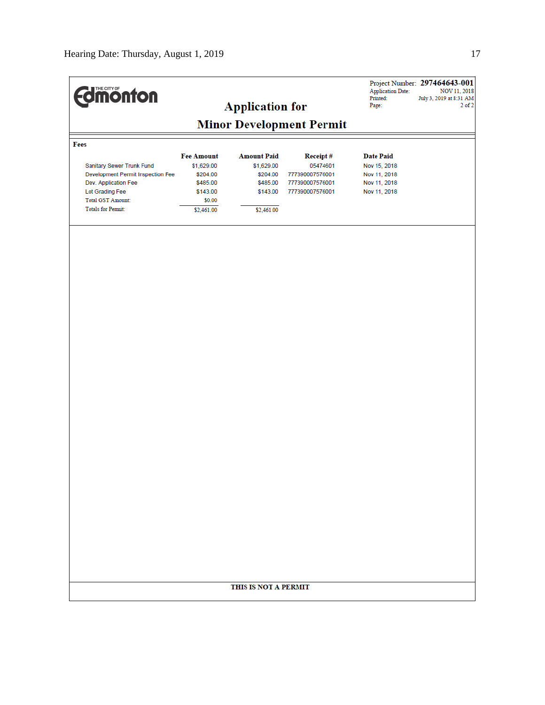| <b>Edmonton</b>                                                                                                                                                    |                                                                                             | <b>Application for</b>                                                             |                                                                                      | <b>Application Date:</b><br>Printed:<br>Page:                                    | Project Number: 297464643-001<br>NOV 11, 2018<br>July 3, 2019 at 8:31 AM<br>$2$ of $2$ |
|--------------------------------------------------------------------------------------------------------------------------------------------------------------------|---------------------------------------------------------------------------------------------|------------------------------------------------------------------------------------|--------------------------------------------------------------------------------------|----------------------------------------------------------------------------------|----------------------------------------------------------------------------------------|
|                                                                                                                                                                    |                                                                                             |                                                                                    | <b>Minor Development Permit</b>                                                      |                                                                                  |                                                                                        |
| Fees                                                                                                                                                               |                                                                                             |                                                                                    |                                                                                      |                                                                                  |                                                                                        |
| Sanitary Sewer Trunk Fund<br>Development Permit Inspection Fee<br>Dev. Application Fee<br>Lot Grading Fee<br><b>Total GST Amount:</b><br><b>Totals for Permit:</b> | <b>Fee Amount</b><br>\$1,629.00<br>\$204.00<br>\$485.00<br>\$143.00<br>\$0.00<br>\$2,461.00 | <b>Amount Paid</b><br>\$1,629.00<br>\$204.00<br>\$485.00<br>\$143.00<br>\$2,461.00 | <b>Receipt#</b><br>05474601<br>777390007576001<br>777390007576001<br>777390007576001 | <b>Date Paid</b><br>Nov 15, 2018<br>Nov 11, 2018<br>Nov 11, 2018<br>Nov 11, 2018 |                                                                                        |
|                                                                                                                                                                    |                                                                                             |                                                                                    |                                                                                      |                                                                                  |                                                                                        |
|                                                                                                                                                                    |                                                                                             | THIS IS NOT A PERMIT                                                               |                                                                                      |                                                                                  |                                                                                        |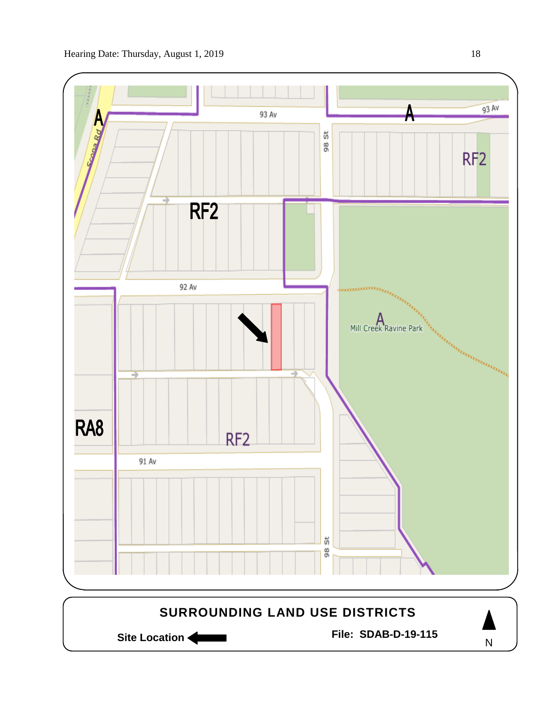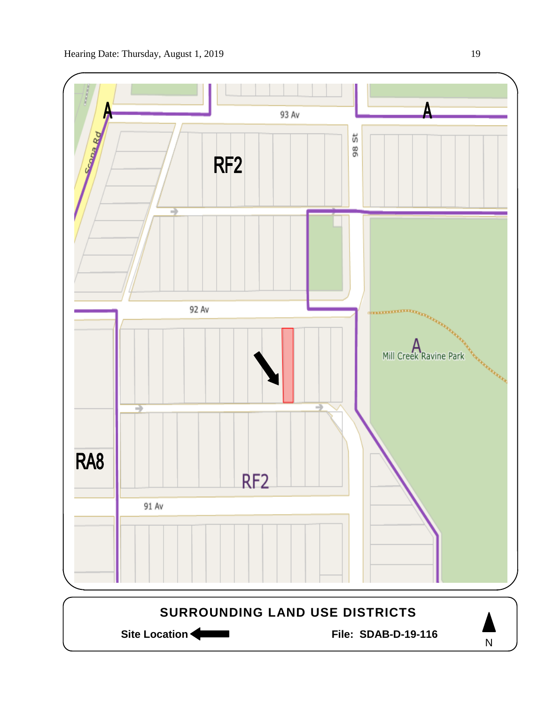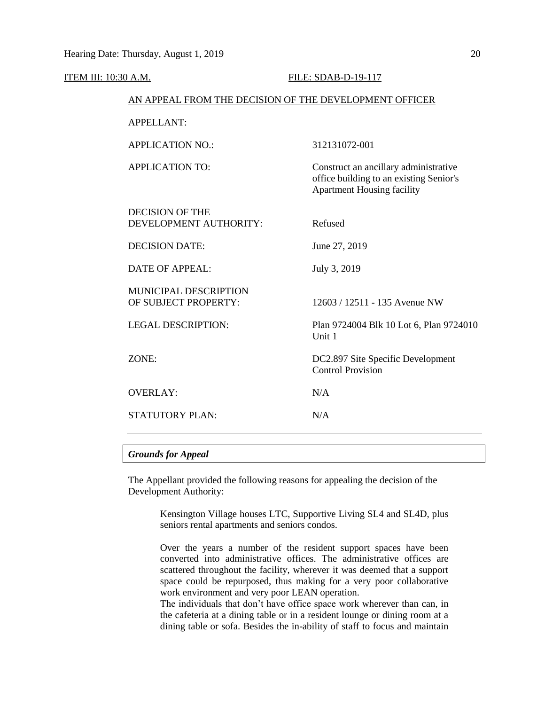| <b>ITEM III: 10:30 A.M.</b> |                                                        |  | FILE: SDAB-D-19-117                                                                                                   |  |  |
|-----------------------------|--------------------------------------------------------|--|-----------------------------------------------------------------------------------------------------------------------|--|--|
|                             | AN APPEAL FROM THE DECISION OF THE DEVELOPMENT OFFICER |  |                                                                                                                       |  |  |
|                             | <b>APPELLANT:</b>                                      |  |                                                                                                                       |  |  |
|                             | <b>APPLICATION NO.:</b>                                |  | 312131072-001                                                                                                         |  |  |
|                             | <b>APPLICATION TO:</b>                                 |  | Construct an ancillary administrative<br>office building to an existing Senior's<br><b>Apartment Housing facility</b> |  |  |
|                             | <b>DECISION OF THE</b><br>DEVELOPMENT AUTHORITY:       |  | Refused                                                                                                               |  |  |
|                             | <b>DECISION DATE:</b>                                  |  | June 27, 2019                                                                                                         |  |  |
|                             | <b>DATE OF APPEAL:</b>                                 |  | July 3, 2019                                                                                                          |  |  |
|                             | MUNICIPAL DESCRIPTION<br>OF SUBJECT PROPERTY:          |  | 12603 / 12511 - 135 Avenue NW                                                                                         |  |  |
|                             | <b>LEGAL DESCRIPTION:</b>                              |  | Plan 9724004 Blk 10 Lot 6, Plan 9724010<br>Unit 1                                                                     |  |  |
|                             | ZONE:                                                  |  | DC2.897 Site Specific Development<br><b>Control Provision</b>                                                         |  |  |
|                             | <b>OVERLAY:</b>                                        |  | N/A                                                                                                                   |  |  |
|                             | STATUTORY PLAN:                                        |  | N/A                                                                                                                   |  |  |
|                             |                                                        |  |                                                                                                                       |  |  |

# *Grounds for Appeal*

The Appellant provided the following reasons for appealing the decision of the Development Authority:

> Kensington Village houses LTC, Supportive Living SL4 and SL4D, plus seniors rental apartments and seniors condos.

> Over the years a number of the resident support spaces have been converted into administrative offices. The administrative offices are scattered throughout the facility, wherever it was deemed that a support space could be repurposed, thus making for a very poor collaborative work environment and very poor LEAN operation.

> The individuals that don't have office space work wherever than can, in the cafeteria at a dining table or in a resident lounge or dining room at a dining table or sofa. Besides the in-ability of staff to focus and maintain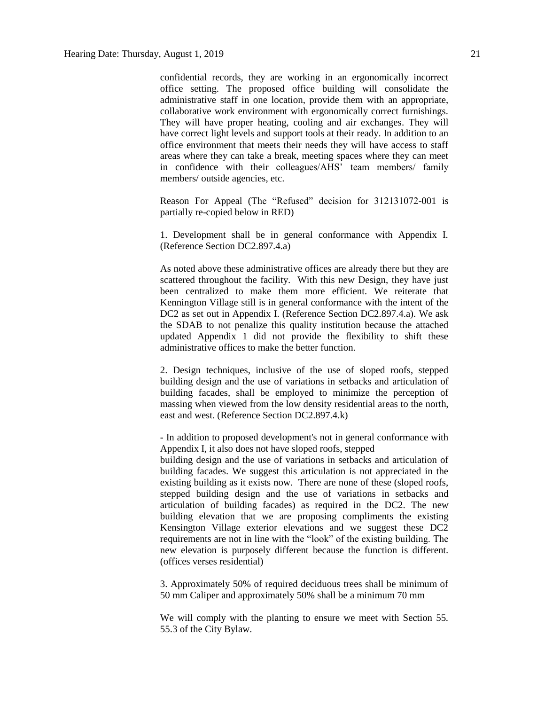confidential records, they are working in an ergonomically incorrect office setting. The proposed office building will consolidate the administrative staff in one location, provide them with an appropriate, collaborative work environment with ergonomically correct furnishings. They will have proper heating, cooling and air exchanges. They will have correct light levels and support tools at their ready. In addition to an office environment that meets their needs they will have access to staff areas where they can take a break, meeting spaces where they can meet in confidence with their colleagues/AHS' team members/ family members/ outside agencies, etc.

Reason For Appeal (The "Refused" decision for 312131072-001 is partially re-copied below in RED)

1. Development shall be in general conformance with Appendix I. (Reference Section DC2.897.4.a)

As noted above these administrative offices are already there but they are scattered throughout the facility. With this new Design, they have just been centralized to make them more efficient. We reiterate that Kennington Village still is in general conformance with the intent of the DC2 as set out in Appendix I. (Reference Section DC2.897.4.a). We ask the SDAB to not penalize this quality institution because the attached updated Appendix 1 did not provide the flexibility to shift these administrative offices to make the better function.

2. Design techniques, inclusive of the use of sloped roofs, stepped building design and the use of variations in setbacks and articulation of building facades, shall be employed to minimize the perception of massing when viewed from the low density residential areas to the north, east and west. (Reference Section DC2.897.4.k)

- In addition to proposed development's not in general conformance with Appendix I, it also does not have sloped roofs, stepped

building design and the use of variations in setbacks and articulation of building facades. We suggest this articulation is not appreciated in the existing building as it exists now. There are none of these (sloped roofs, stepped building design and the use of variations in setbacks and articulation of building facades) as required in the DC2. The new building elevation that we are proposing compliments the existing Kensington Village exterior elevations and we suggest these DC2 requirements are not in line with the "look" of the existing building. The new elevation is purposely different because the function is different. (offices verses residential)

3. Approximately 50% of required deciduous trees shall be minimum of 50 mm Caliper and approximately 50% shall be a minimum 70 mm

We will comply with the planting to ensure we meet with Section 55. 55.3 of the City Bylaw.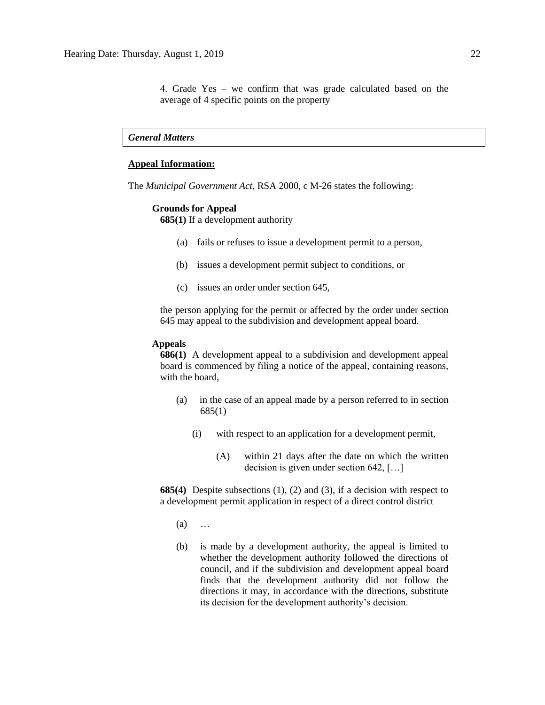4. Grade Yes – we confirm that was grade calculated based on the average of 4 specific points on the property

*General Matters*

#### **Appeal Information:**

The *Municipal Government Act*, RSA 2000, c M-26 states the following:

#### **Grounds for Appeal**

**685(1)** If a development authority

- (a) fails or refuses to issue a development permit to a person,
- (b) issues a development permit subject to conditions, or
- (c) issues an order under section 645,

the person applying for the permit or affected by the order under section 645 may appeal to the subdivision and development appeal board.

#### **Appeals**

**686(1)** A development appeal to a subdivision and development appeal board is commenced by filing a notice of the appeal, containing reasons, with the board,

- (a) in the case of an appeal made by a person referred to in section 685(1)
	- (i) with respect to an application for a development permit,
		- (A) within 21 days after the date on which the written decision is given under section 642, […]

**685(4)** Despite subsections (1), (2) and (3), if a decision with respect to a development permit application in respect of a direct control district

- (a) …
- (b) is made by a development authority, the appeal is limited to whether the development authority followed the directions of council, and if the subdivision and development appeal board finds that the development authority did not follow the directions it may, in accordance with the directions, substitute its decision for the development authority's decision.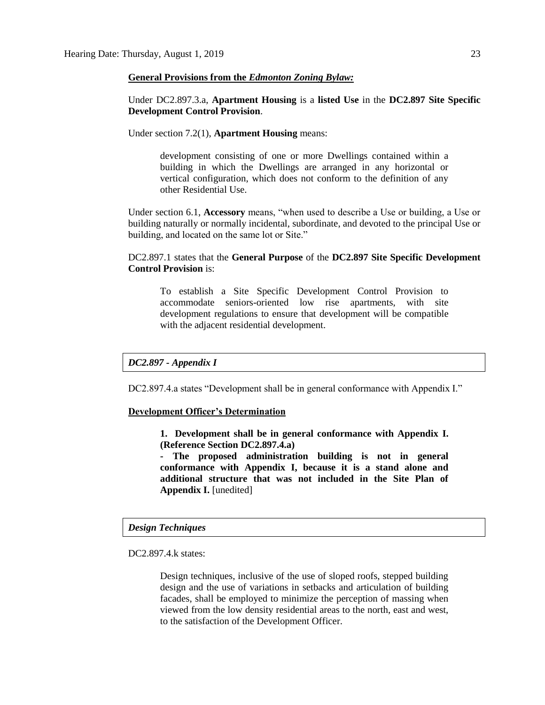#### **General Provisions from the** *Edmonton Zoning Bylaw:*

Under DC2.897.3.a, **Apartment Housing** is a **listed Use** in the **DC2.897 Site Specific Development Control Provision**.

Under section 7.2(1), **Apartment Housing** means:

development consisting of one or more Dwellings contained within a building in which the Dwellings are arranged in any horizontal or vertical configuration, which does not conform to the definition of any other Residential Use.

Under section 6.1, **Accessory** means, "when used to describe a Use or building, a Use or building naturally or normally incidental, subordinate, and devoted to the principal Use or building, and located on the same lot or Site."

DC2.897.1 states that the **General Purpose** of the **DC2.897 Site Specific Development Control Provision** is:

To establish a Site Specific Development Control Provision to accommodate seniors-oriented low rise apartments, with site development regulations to ensure that development will be compatible with the adjacent residential development.

*DC2.897 - Appendix I*

DC2.897.4.a states "Development shall be in general conformance with Appendix I."

#### **Development Officer's Determination**

**1. Development shall be in general conformance with Appendix I. (Reference Section DC2.897.4.a)**

**- The proposed administration building is not in general conformance with Appendix I, because it is a stand alone and additional structure that was not included in the Site Plan of Appendix I.** [unedited]

#### *Design Techniques*

DC2.897.4.k states:

Design techniques, inclusive of the use of sloped roofs, stepped building design and the use of variations in setbacks and articulation of building facades, shall be employed to minimize the perception of massing when viewed from the low density residential areas to the north, east and west, to the satisfaction of the Development Officer.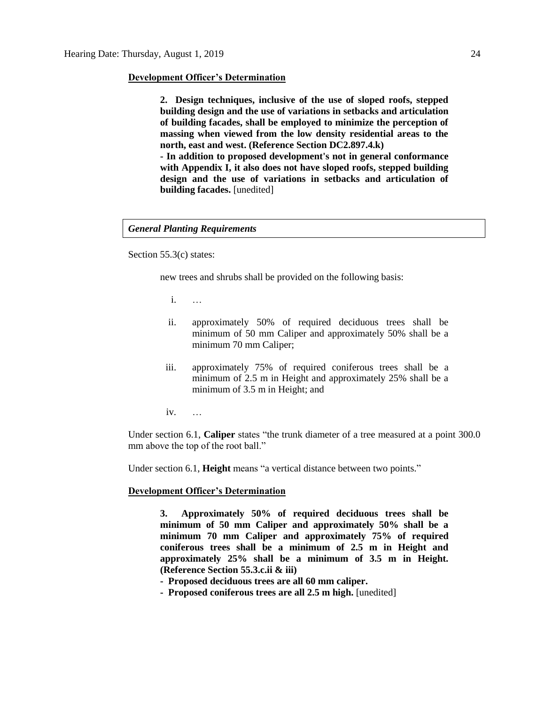#### **Development Officer's Determination**

**2. Design techniques, inclusive of the use of sloped roofs, stepped building design and the use of variations in setbacks and articulation of building facades, shall be employed to minimize the perception of massing when viewed from the low density residential areas to the north, east and west. (Reference Section DC2.897.4.k)**

**- In addition to proposed development's not in general conformance with Appendix I, it also does not have sloped roofs, stepped building design and the use of variations in setbacks and articulation of building facades.** [unedited]

#### *General Planting Requirements*

Section 55.3(c) states:

new trees and shrubs shall be provided on the following basis:

i. …

- ii. approximately 50% of required deciduous trees shall be minimum of 50 mm Caliper and approximately 50% shall be a minimum 70 mm Caliper;
- iii. approximately 75% of required coniferous trees shall be a minimum of 2.5 m in Height and approximately 25% shall be a minimum of 3.5 m in Height; and
- iv. …

Under section 6.1, **Caliper** states "the trunk diameter of a tree measured at a point 300.0 mm above the top of the root ball."

Under section 6.1, **Height** means "a vertical distance between two points."

#### **Development Officer's Determination**

**3. Approximately 50% of required deciduous trees shall be minimum of 50 mm Caliper and approximately 50% shall be a minimum 70 mm Caliper and approximately 75% of required coniferous trees shall be a minimum of 2.5 m in Height and approximately 25% shall be a minimum of 3.5 m in Height. (Reference Section 55.3.c.ii & iii)**

- **Proposed deciduous trees are all 60 mm caliper.**
- **Proposed coniferous trees are all 2.5 m high.** [unedited]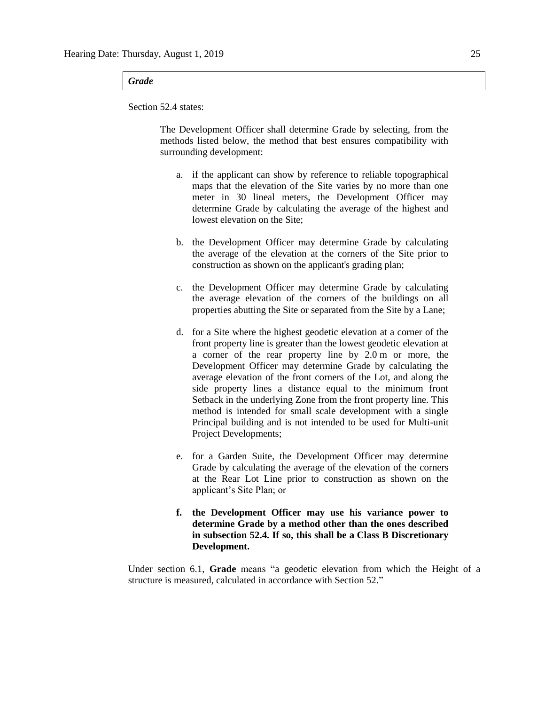#### *Grade*

Section 52.4 states:

The Development Officer shall determine Grade by selecting, from the methods listed below, the method that best ensures compatibility with surrounding development:

- a. if the applicant can show by reference to reliable topographical maps that the elevation of the Site varies by no more than one meter in 30 lineal meters, the Development Officer may determine Grade by calculating the average of the highest and lowest elevation on the Site;
- b. the Development Officer may determine Grade by calculating the average of the elevation at the corners of the Site prior to construction as shown on the applicant's grading plan;
- c. the Development Officer may determine Grade by calculating the average elevation of the corners of the buildings on all properties abutting the Site or separated from the Site by a Lane;
- d. for a Site where the highest geodetic elevation at a corner of the front property line is greater than the lowest geodetic elevation at a corner of the rear property line by 2.0 m or more, the Development Officer may determine Grade by calculating the average elevation of the front corners of the Lot, and along the side property lines a distance equal to the minimum front Setback in the underlying Zone from the front property line. This method is intended for small scale development with a single Principal building and is not intended to be used for Multi-unit Project Developments;
- e. for a Garden Suite, the Development Officer may determine Grade by calculating the average of the elevation of the corners at the Rear Lot Line prior to construction as shown on the applicant's Site Plan; or
- **f. the Development Officer may use his variance power to determine Grade by a method other than the ones described in subsection 52.4. If so, this shall be a Class B Discretionary Development.**

Under section 6.1, **Grade** means "a geodetic elevation from which the Height of a structure is measured, calculated in accordance with Section 52."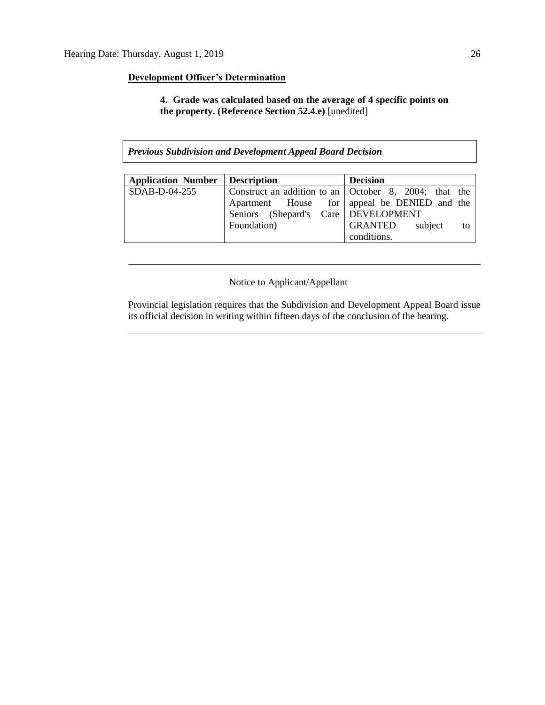# **Development Officer's Determination**

**4. Grade was calculated based on the average of 4 specific points on the property. (Reference Section 52.4.e)** [unedited]

*Previous Subdivision and Development Appeal Board Decision*

| Application Number   Description |                                       | <b>Decision</b>                                       |
|----------------------------------|---------------------------------------|-------------------------------------------------------|
| SDAB-D-04-255                    |                                       | Construct an addition to an October 8, 2004; that the |
|                                  |                                       | Apartment House for   appeal be DENIED and the        |
|                                  | Seniors (Shepard's Care   DEVELOPMENT |                                                       |
|                                  | Foundation)                           | GRANTED<br>subject<br>to                              |
|                                  |                                       | conditions.                                           |

# Notice to Applicant/Appellant

Provincial legislation requires that the Subdivision and Development Appeal Board issue its official decision in writing within fifteen days of the conclusion of the hearing.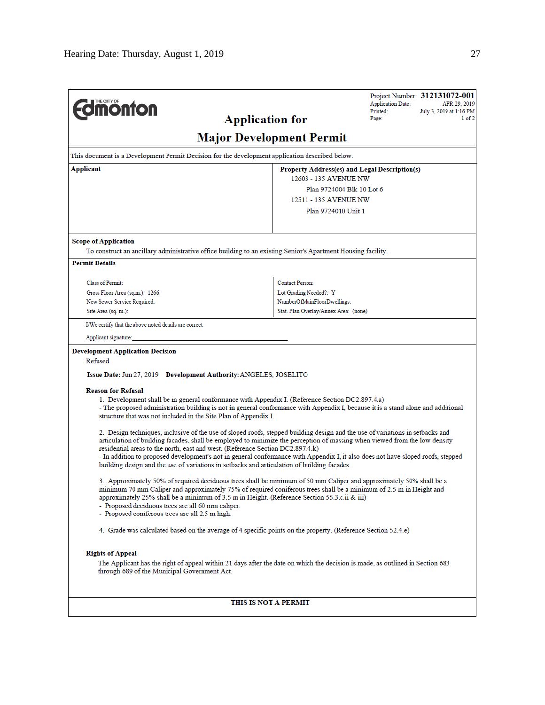| <b>Umonton</b><br><b>Application for</b>                                                                                                                                                                                                                                                                                                                                                                                                                             |                                               | <b>Application Date:</b><br>Printed:<br>Page: | Project Number: 312131072-001<br>APR 29, 2019<br>July 3, 2019 at 1:16 PM<br>$1$ of $2$ |  |  |  |
|----------------------------------------------------------------------------------------------------------------------------------------------------------------------------------------------------------------------------------------------------------------------------------------------------------------------------------------------------------------------------------------------------------------------------------------------------------------------|-----------------------------------------------|-----------------------------------------------|----------------------------------------------------------------------------------------|--|--|--|
| <b>Major Development Permit</b>                                                                                                                                                                                                                                                                                                                                                                                                                                      |                                               |                                               |                                                                                        |  |  |  |
| This document is a Development Permit Decision for the development application described below.                                                                                                                                                                                                                                                                                                                                                                      |                                               |                                               |                                                                                        |  |  |  |
| Applicant                                                                                                                                                                                                                                                                                                                                                                                                                                                            | Property Address(es) and Legal Description(s) |                                               |                                                                                        |  |  |  |
|                                                                                                                                                                                                                                                                                                                                                                                                                                                                      | 12603 - 135 AVENUE NW                         |                                               |                                                                                        |  |  |  |
|                                                                                                                                                                                                                                                                                                                                                                                                                                                                      | Plan 9724004 Blk 10 Lot 6                     |                                               |                                                                                        |  |  |  |
| 12511 - 135 AVENUE NW                                                                                                                                                                                                                                                                                                                                                                                                                                                |                                               |                                               |                                                                                        |  |  |  |
|                                                                                                                                                                                                                                                                                                                                                                                                                                                                      | Plan 9724010 Unit 1                           |                                               |                                                                                        |  |  |  |
| <b>Scope of Application</b>                                                                                                                                                                                                                                                                                                                                                                                                                                          |                                               |                                               |                                                                                        |  |  |  |
| To construct an ancillary administrative office building to an existing Senior's Apartment Housing facility.                                                                                                                                                                                                                                                                                                                                                         |                                               |                                               |                                                                                        |  |  |  |
| <b>Permit Details</b>                                                                                                                                                                                                                                                                                                                                                                                                                                                |                                               |                                               |                                                                                        |  |  |  |
| Class of Permit:                                                                                                                                                                                                                                                                                                                                                                                                                                                     | Contact Person:                               |                                               |                                                                                        |  |  |  |
| Gross Floor Area (sq.m.): 1266                                                                                                                                                                                                                                                                                                                                                                                                                                       | Lot Grading Needed?: Y                        |                                               |                                                                                        |  |  |  |
| New Sewer Service Required:                                                                                                                                                                                                                                                                                                                                                                                                                                          | NumberOfMainFloorDwellings:                   |                                               |                                                                                        |  |  |  |
| Site Area (sq. m.):                                                                                                                                                                                                                                                                                                                                                                                                                                                  | Stat. Plan Overlay/Annex Area: (none)         |                                               |                                                                                        |  |  |  |
| I/We certify that the above noted details are correct.                                                                                                                                                                                                                                                                                                                                                                                                               |                                               |                                               |                                                                                        |  |  |  |
| Applicant signature:                                                                                                                                                                                                                                                                                                                                                                                                                                                 |                                               |                                               |                                                                                        |  |  |  |
| <b>Development Application Decision</b><br>Refused                                                                                                                                                                                                                                                                                                                                                                                                                   |                                               |                                               |                                                                                        |  |  |  |
| Issue Date: Jun 27, 2019 Development Authority: ANGELES, JOSELITO                                                                                                                                                                                                                                                                                                                                                                                                    |                                               |                                               |                                                                                        |  |  |  |
| <b>Reason for Refusal</b><br>1. Development shall be in general conformance with Appendix I. (Reference Section DC2.897.4.a)<br>- The proposed administration building is not in general conformance with Appendix I, because it is a stand alone and additional<br>structure that was not included in the Site Plan of Appendix I.<br>2. Design techniques, inclusive of the use of sloped roofs, stepped building design and the use of variations in setbacks and |                                               |                                               |                                                                                        |  |  |  |
| articulation of building facades, shall be employed to minimize the perception of massing when viewed from the low density<br>residential areas to the north, east and west. (Reference Section DC2.897.4.k)<br>- In addition to proposed development's not in general conformance with Appendix I, it also does not have sloped roofs, stepped<br>building design and the use of variations in setbacks and articulation of building facades.                       |                                               |                                               |                                                                                        |  |  |  |
| 3. Approximately 50% of required deciduous trees shall be minimum of 50 mm Caliper and approximately 50% shall be a<br>minimum 70 mm Caliper and approximately 75% of required coniferous trees shall be a minimum of 2.5 m in Height and<br>approximately 25% shall be a minimum of 3.5 m in Height. (Reference Section 55.3.c.ii & iii)<br>- Proposed deciduous trees are all 60 mm caliper.<br>- Proposed coniferous trees are all 2.5 m high.                    |                                               |                                               |                                                                                        |  |  |  |
| 4. Grade was calculated based on the average of 4 specific points on the property. (Reference Section 52.4.e)                                                                                                                                                                                                                                                                                                                                                        |                                               |                                               |                                                                                        |  |  |  |
| <b>Rights of Appeal</b>                                                                                                                                                                                                                                                                                                                                                                                                                                              |                                               |                                               |                                                                                        |  |  |  |
| The Applicant has the right of appeal within 21 days after the date on which the decision is made, as outlined in Section 683<br>through 689 of the Municipal Government Act.                                                                                                                                                                                                                                                                                        |                                               |                                               |                                                                                        |  |  |  |
| THIS IS NOT A PERMIT                                                                                                                                                                                                                                                                                                                                                                                                                                                 |                                               |                                               |                                                                                        |  |  |  |
|                                                                                                                                                                                                                                                                                                                                                                                                                                                                      |                                               |                                               |                                                                                        |  |  |  |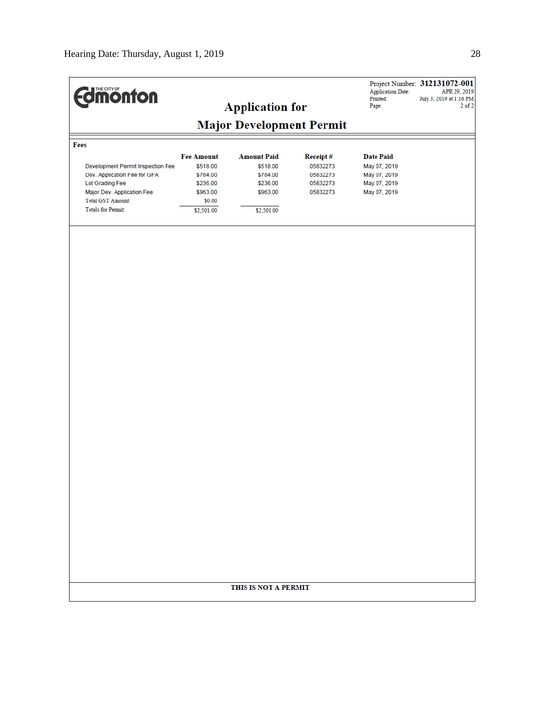| <b>Edimonton</b>                                |                               | <b>Application for</b>         |                      | <b>Application Date:</b><br>Printed:<br>Page: | Project Number: 312131072-001<br>APR 29, 2019<br>July 3, 2019 at 1:16 PM<br>$2$ of $2$ |  |  |
|-------------------------------------------------|-------------------------------|--------------------------------|----------------------|-----------------------------------------------|----------------------------------------------------------------------------------------|--|--|
| <b>Major Development Permit</b>                 |                               |                                |                      |                                               |                                                                                        |  |  |
| Fees                                            |                               |                                |                      |                                               |                                                                                        |  |  |
| Development Permit Inspection Fee               | <b>Fee Amount</b><br>\$518.00 | <b>Amount Paid</b><br>\$518.00 | Receipt#<br>05832273 | <b>Date Paid</b><br>May 07, 2019              |                                                                                        |  |  |
| Dev. Application Fee for GFA<br>Lot Grading Fee | \$784.00<br>\$236.00          | \$784.00<br>\$236.00           | 05832273<br>05832273 | May 07, 2019<br>May 07, 2019                  |                                                                                        |  |  |
| Major Dev. Application Fee<br>Total GST Amount: | \$963.00<br>\$0.00            | \$963.00                       | 05832273             | May 07, 2019                                  |                                                                                        |  |  |
| <b>Totals for Permit:</b>                       | \$2,501.00                    | \$2,501.00                     |                      |                                               |                                                                                        |  |  |
|                                                 |                               |                                |                      |                                               |                                                                                        |  |  |
|                                                 |                               |                                |                      |                                               |                                                                                        |  |  |
|                                                 |                               |                                |                      |                                               |                                                                                        |  |  |
|                                                 |                               |                                |                      |                                               |                                                                                        |  |  |
|                                                 |                               |                                |                      |                                               |                                                                                        |  |  |
|                                                 |                               |                                |                      |                                               |                                                                                        |  |  |
|                                                 |                               |                                |                      |                                               |                                                                                        |  |  |
|                                                 |                               |                                |                      |                                               |                                                                                        |  |  |
|                                                 |                               |                                |                      |                                               |                                                                                        |  |  |
|                                                 |                               |                                |                      |                                               |                                                                                        |  |  |
|                                                 |                               |                                |                      |                                               |                                                                                        |  |  |
|                                                 |                               |                                |                      |                                               |                                                                                        |  |  |
|                                                 |                               |                                |                      |                                               |                                                                                        |  |  |
|                                                 |                               |                                |                      |                                               |                                                                                        |  |  |
|                                                 |                               |                                |                      |                                               |                                                                                        |  |  |
|                                                 |                               |                                |                      |                                               |                                                                                        |  |  |
|                                                 |                               |                                |                      |                                               |                                                                                        |  |  |
|                                                 |                               |                                |                      |                                               |                                                                                        |  |  |
|                                                 |                               |                                |                      |                                               |                                                                                        |  |  |
|                                                 |                               |                                |                      |                                               |                                                                                        |  |  |
|                                                 |                               | THIS IS NOT A PERMIT           |                      |                                               |                                                                                        |  |  |